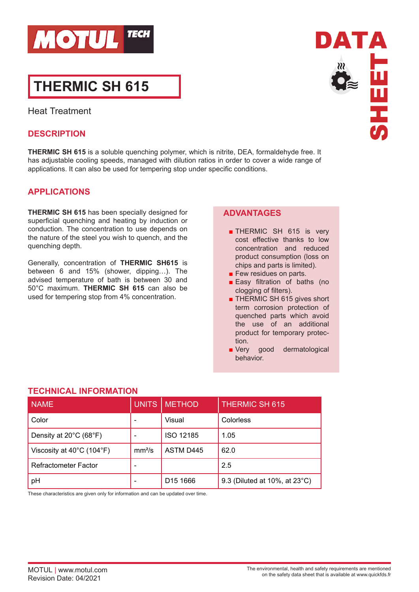

# **THERMIC SH 615**

Heat Treatment

# **DESCRIPTION**

**THERMIC SH 615** is a soluble quenching polymer, which is nitrite, DEA, formaldehyde free. It has adjustable cooling speeds, managed with dilution ratios in order to cover a wide range of applications. It can also be used for tempering stop under specific conditions.

# **APPLICATIONS**

**THERMIC SH 615** has been specially designed for superficial quenching and heating by induction or conduction. The concentration to use depends on the nature of the steel you wish to quench, and the quenching depth.

Generally, concentration of **THERMIC SH615** is between 6 and 15% (shower, dipping…). The advised temperature of bath is between 30 and 50°C maximum. **THERMIC SH 615** can also be used for tempering stop from 4% concentration.

## **ADVANTAGES**

- THERMIC SH 615 is very cost effective thanks to low concentration and reduced product consumption (loss on chips and parts is limited).
- Few residues on parts.
- Easy filtration of baths (no clogging of filters).
- THERMIC SH 615 gives short term corrosion protection of quenched parts which avoid the use of an additional product for temporary protection.
- Very good dermatological behavior.

| uval In Vinia IVII                             |                    |                      |                               |
|------------------------------------------------|--------------------|----------------------|-------------------------------|
| <b>NAME</b>                                    | <b>UNITS</b>       | <b>METHOD</b>        | <b>THERMIC SH 615</b>         |
| Color                                          |                    | Visual               | Colorless                     |
| Density at 20°C (68°F)                         |                    | <b>ISO 12185</b>     | 1.05                          |
| Viscosity at $40^{\circ}$ C (104 $^{\circ}$ F) | mm <sup>2</sup> /s | ASTM D445            | 62.0                          |
| Refractometer Factor                           |                    |                      | 2.5                           |
| рH                                             |                    | D <sub>15</sub> 1666 | 9.3 (Diluted at 10%, at 23°C) |

# **TECHNICAL INFORMATION**

These characteristics are given only for information and can be updated over time.